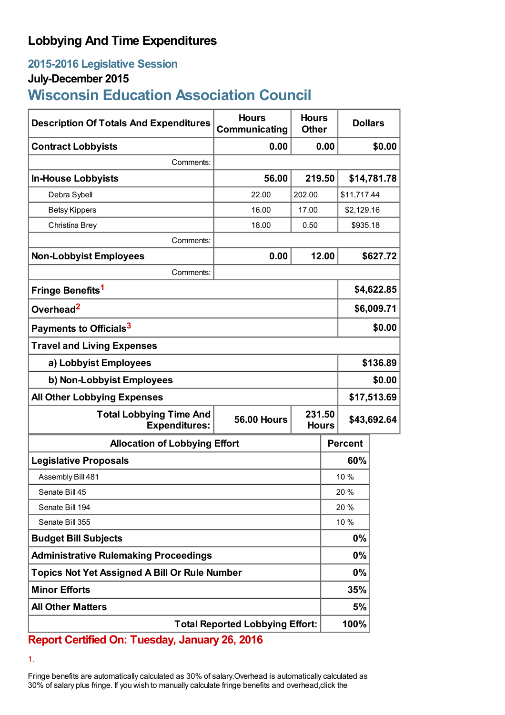## **Lobbying And Time Expenditures**

### **2015-2016 Legislative Session**

#### **July-December 2015**

# **Wisconsin Education Association Council**

| <b>Description Of Totals And Expenditures</b>          | <b>Hours</b><br>Communicating | <b>Hours</b><br><b>Other</b> |             | <b>Dollars</b> |          |
|--------------------------------------------------------|-------------------------------|------------------------------|-------------|----------------|----------|
| <b>Contract Lobbyists</b>                              | 0.00                          |                              | 0.00        |                | \$0.00   |
| Comments:                                              |                               |                              |             |                |          |
| <b>In-House Lobbyists</b>                              | 56.00                         | 219.50                       |             | \$14,781.78    |          |
| Debra Sybell                                           | 22.00                         | 202.00                       | \$11,717.44 |                |          |
| <b>Betsy Kippers</b>                                   | 16.00                         | 17.00                        | \$2,129.16  |                |          |
| Christina Brey                                         | 18.00                         | 0.50                         | \$935.18    |                |          |
| Comments:                                              |                               |                              |             |                |          |
| <b>Non-Lobbyist Employees</b>                          | 0.00                          |                              | 12.00       |                | \$627.72 |
| Comments:                                              |                               |                              |             |                |          |
| Fringe Benefits <sup>1</sup>                           |                               |                              | \$4,622.85  |                |          |
| Overhead <sup>2</sup>                                  |                               |                              |             | \$6,009.71     |          |
| Payments to Officials <sup>3</sup>                     |                               |                              |             | \$0.00         |          |
| <b>Travel and Living Expenses</b>                      |                               |                              |             |                |          |
| a) Lobbyist Employees                                  |                               |                              |             | \$136.89       |          |
| b) Non-Lobbyist Employees                              |                               |                              |             | \$0.00         |          |
| <b>All Other Lobbying Expenses</b>                     |                               |                              |             | \$17,513.69    |          |
| <b>Total Lobbying Time And</b><br><b>Expenditures:</b> | <b>56.00 Hours</b>            | 231.50<br><b>Hours</b>       |             | \$43,692.64    |          |
| <b>Allocation of Lobbying Effort</b>                   |                               |                              |             | <b>Percent</b> |          |
| <b>Legislative Proposals</b>                           |                               |                              |             | 60%            |          |
| Assembly Bill 481                                      |                               |                              |             | 10 %           |          |
| Senate Bill 45                                         |                               |                              | 20 %        |                |          |
| Senate Bill 194                                        |                               |                              |             | 20 %           |          |
| Senate Bill 355                                        |                               |                              | 10 %        |                |          |
| <b>Budget Bill Subjects</b>                            |                               |                              | 0%          |                |          |
| <b>Administrative Rulemaking Proceedings</b>           |                               |                              | 0%          |                |          |
| Topics Not Yet Assigned A Bill Or Rule Number          |                               |                              | 0%          |                |          |
| <b>Minor Efforts</b>                                   |                               |                              |             | 35%            |          |
| <b>All Other Matters</b>                               |                               |                              |             | 5%             |          |
| <b>Total Reported Lobbying Effort:</b>                 |                               |                              |             | 100%           |          |

**Report Certified On: Tuesday, January 26, 2016**

1.

Fringe benefits are automatically calculated as 30% of salary.Overhead is automatically calculated as 30% of salary plus fringe. If you wish to manually calculate fringe benefits and overhead,click the